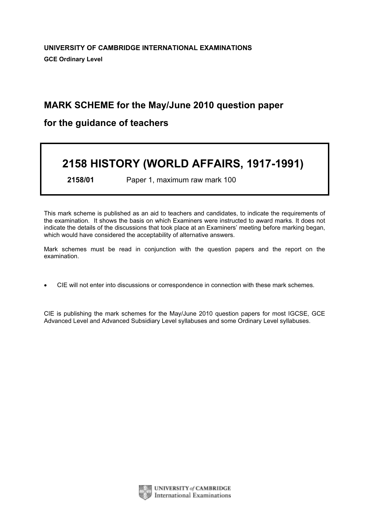# MARK SCHEME for the May/June 2010 question paper

# for the guidance of teachers

# 2158 HISTORY (WORLD AFFAIRS, 1917-1991)

2158/01 Paper 1, maximum raw mark 100

This mark scheme is published as an aid to teachers and candidates, to indicate the requirements of the examination. It shows the basis on which Examiners were instructed to award marks. It does not indicate the details of the discussions that took place at an Examiners' meeting before marking began, which would have considered the acceptability of alternative answers.

Mark schemes must be read in conjunction with the question papers and the report on the examination.

*•* CIE will not enter into discussions or correspondence in connection with these mark schemes.

CIE is publishing the mark schemes for the May/June 2010 question papers for most IGCSE, GCE Advanced Level and Advanced Subsidiary Level syllabuses and some Ordinary Level syllabuses.



UNIVERSITY of CAMBRIDGE International Examinations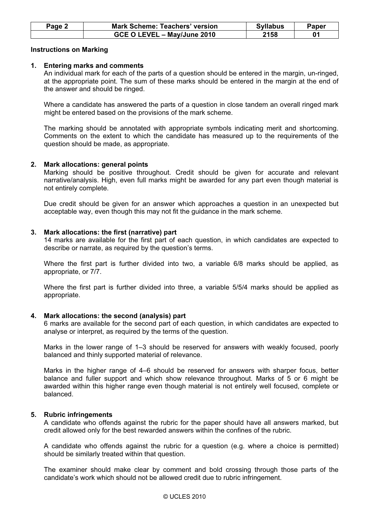| Page 2 | <b>Mark Scheme: Teachers' version</b> | <b>Syllabus</b> | Paper |
|--------|---------------------------------------|-----------------|-------|
|        | GCE O LEVEL - May/June 2010           | 2158            |       |

#### Instructions on Marking

#### 1. Entering marks and comments

 An individual mark for each of the parts of a question should be entered in the margin, un-ringed, at the appropriate point. The sum of these marks should be entered in the margin at the end of the answer and should be ringed.

 Where a candidate has answered the parts of a question in close tandem an overall ringed mark might be entered based on the provisions of the mark scheme.

 The marking should be annotated with appropriate symbols indicating merit and shortcoming. Comments on the extent to which the candidate has measured up to the requirements of the question should be made, as appropriate.

## 2. Mark allocations: general points

 Marking should be positive throughout. Credit should be given for accurate and relevant narrative/analysis. High, even full marks might be awarded for any part even though material is not entirely complete.

 Due credit should be given for an answer which approaches a question in an unexpected but acceptable way, even though this may not fit the guidance in the mark scheme.

## 3. Mark allocations: the first (narrative) part

 14 marks are available for the first part of each question, in which candidates are expected to describe or narrate, as required by the question's terms.

 Where the first part is further divided into two, a variable 6/8 marks should be applied, as appropriate, or 7/7.

 Where the first part is further divided into three, a variable 5/5/4 marks should be applied as appropriate.

#### 4. Mark allocations: the second (analysis) part

 6 marks are available for the second part of each question, in which candidates are expected to analyse or interpret, as required by the terms of the question.

 Marks in the lower range of 1–3 should be reserved for answers with weakly focused, poorly balanced and thinly supported material of relevance.

 Marks in the higher range of 4–6 should be reserved for answers with sharper focus, better balance and fuller support and which show relevance throughout. Marks of 5 or 6 might be awarded within this higher range even though material is not entirely well focused, complete or balanced.

#### 5. Rubric infringements

 A candidate who offends against the rubric for the paper should have all answers marked, but credit allowed only for the best rewarded answers within the confines of the rubric.

 A candidate who offends against the rubric for a question (e.g. where a choice is permitted) should be similarly treated within that question.

 The examiner should make clear by comment and bold crossing through those parts of the candidate's work which should not be allowed credit due to rubric infringement.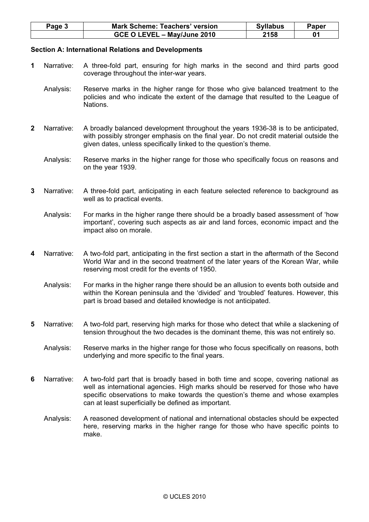| Page $3$ | <b>Mark Scheme: Teachers' version</b> | <b>Syllabus</b> | Paper |
|----------|---------------------------------------|-----------------|-------|
|          | GCE O LEVEL - May/June 2010           | 2158            |       |

#### Section A: International Relations and Developments

- 1 Narrative: A three-fold part, ensuring for high marks in the second and third parts good coverage throughout the inter-war years.
	- Analysis: Reserve marks in the higher range for those who give balanced treatment to the policies and who indicate the extent of the damage that resulted to the League of Nations.
- 2 Narrative: A broadly balanced development throughout the years 1936-38 is to be anticipated, with possibly stronger emphasis on the final year. Do not credit material outside the given dates, unless specifically linked to the question's theme.
	- Analysis: Reserve marks in the higher range for those who specifically focus on reasons and on the year 1939.
- 3 Narrative: A three-fold part, anticipating in each feature selected reference to background as well as to practical events.
	- Analysis: For marks in the higher range there should be a broadly based assessment of 'how important', covering such aspects as air and land forces, economic impact and the impact also on morale.
- 4 Narrative: A two-fold part, anticipating in the first section a start in the aftermath of the Second World War and in the second treatment of the later years of the Korean War, while reserving most credit for the events of 1950.
	- Analysis: For marks in the higher range there should be an allusion to events both outside and within the Korean peninsula and the 'divided' and 'troubled' features. However, this part is broad based and detailed knowledge is not anticipated.
- 5 Narrative: A two-fold part, reserving high marks for those who detect that while a slackening of tension throughout the two decades is the dominant theme, this was not entirely so.
	- Analysis: Reserve marks in the higher range for those who focus specifically on reasons, both underlying and more specific to the final years.
- 6 Narrative: A two-fold part that is broadly based in both time and scope, covering national as well as international agencies. High marks should be reserved for those who have specific observations to make towards the question's theme and whose examples can at least superficially be defined as important.
	- Analysis: A reasoned development of national and international obstacles should be expected here, reserving marks in the higher range for those who have specific points to make.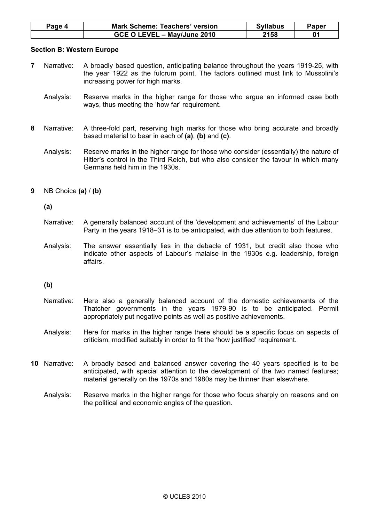| Page 4 | <b>Mark Scheme: Teachers' version</b> | <b>Syllabus</b> | Paper |
|--------|---------------------------------------|-----------------|-------|
|        | GCE O LEVEL - May/June 2010           | 2158            |       |

#### Section B: Western Europe

- 7 Narrative: A broadly based question, anticipating balance throughout the years 1919-25, with the year 1922 as the fulcrum point. The factors outlined must link to Mussolini's increasing power for high marks.
	- Analysis: Reserve marks in the higher range for those who argue an informed case both ways, thus meeting the 'how far' requirement.
- 8 Narrative: A three-fold part, reserving high marks for those who bring accurate and broadly based material to bear in each of  $(a)$ ,  $(b)$  and  $(c)$ .
	- Analysis: Reserve marks in the higher range for those who consider (essentially) the nature of Hitler's control in the Third Reich, but who also consider the favour in which many Germans held him in the 1930s.
- 9 NB Choice  $(a) / (b)$

(a)

- Narrative: A generally balanced account of the 'development and achievements' of the Labour Party in the years 1918–31 is to be anticipated, with due attention to both features.
- Analysis: The answer essentially lies in the debacle of 1931, but credit also those who indicate other aspects of Labour's malaise in the 1930s e.g. leadership, foreign affairs.

(b)

 Narrative: Here also a generally balanced account of the domestic achievements of the Thatcher governments in the years 1979-90 is to be anticipated. Permit appropriately put negative points as well as positive achievements.

 Analysis: Here for marks in the higher range there should be a specific focus on aspects of criticism, modified suitably in order to fit the 'how justified' requirement.

- 10 Narrative: A broadly based and balanced answer covering the 40 years specified is to be anticipated, with special attention to the development of the two named features; material generally on the 1970s and 1980s may be thinner than elsewhere.
	- Analysis: Reserve marks in the higher range for those who focus sharply on reasons and on the political and economic angles of the question.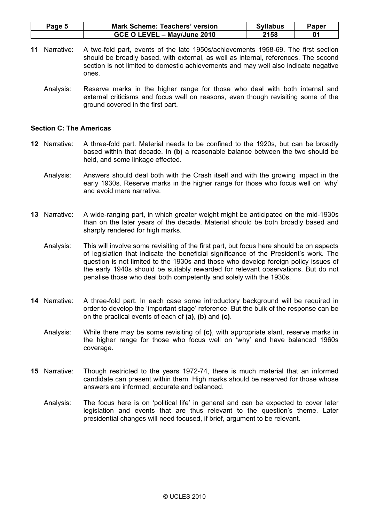| Page 5 | <b>Mark Scheme: Teachers' version</b> | <b>Syllabus</b> | Paper |
|--------|---------------------------------------|-----------------|-------|
|        | GCE O LEVEL - May/June 2010           | 2158            |       |

- 11 Narrative: A two-fold part, events of the late 1950s/achievements 1958-69. The first section should be broadly based, with external, as well as internal, references. The second section is not limited to domestic achievements and may well also indicate negative ones.
	- Analysis: Reserve marks in the higher range for those who deal with both internal and external criticisms and focus well on reasons, even though revisiting some of the ground covered in the first part.

#### Section C: The Americas

- 12 Narrative: A three-fold part. Material needs to be confined to the 1920s, but can be broadly based within that decade. In (b) a reasonable balance between the two should be held, and some linkage effected.
	- Analysis: Answers should deal both with the Crash itself and with the growing impact in the early 1930s. Reserve marks in the higher range for those who focus well on 'why' and avoid mere narrative.
- 13 Narrative: A wide-ranging part, in which greater weight might be anticipated on the mid-1930s than on the later years of the decade. Material should be both broadly based and sharply rendered for high marks.
	- Analysis: This will involve some revisiting of the first part, but focus here should be on aspects of legislation that indicate the beneficial significance of the President's work. The question is not limited to the 1930s and those who develop foreign policy issues of the early 1940s should be suitably rewarded for relevant observations. But do not penalise those who deal both competently and solely with the 1930s.
- 14 Narrative: A three-fold part. In each case some introductory background will be required in order to develop the 'important stage' reference. But the bulk of the response can be on the practical events of each of  $(a)$ ,  $(b)$  and  $(c)$ .
	- Analysis: While there may be some revisiting of (c), with appropriate slant, reserve marks in the higher range for those who focus well on 'why' and have balanced 1960s coverage.
- 15 Narrative: Though restricted to the years 1972-74, there is much material that an informed candidate can present within them. High marks should be reserved for those whose answers are informed, accurate and balanced.
	- Analysis: The focus here is on 'political life' in general and can be expected to cover later legislation and events that are thus relevant to the question's theme. Later presidential changes will need focused, if brief, argument to be relevant.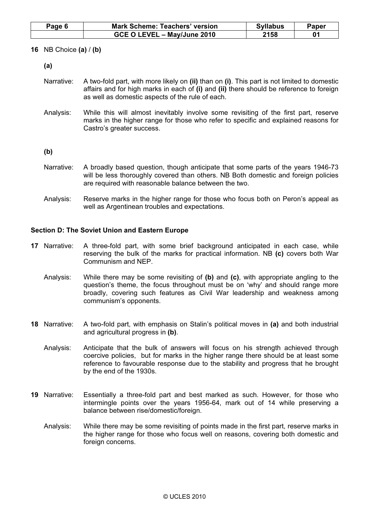| Page 6 | <b>Mark Scheme: Teachers' version</b> | <b>Syllabus</b> | Paper |
|--------|---------------------------------------|-----------------|-------|
|        | GCE O LEVEL - May/June 2010           | 2158            |       |

16 NB Choice (a) / (b)

(a)

- Narrative: A two-fold part, with more likely on (ii) than on (i). This part is not limited to domestic affairs and for high marks in each of (i) and (ii) there should be reference to foreign as well as domestic aspects of the rule of each.
- Analysis: While this will almost inevitably involve some revisiting of the first part, reserve marks in the higher range for those who refer to specific and explained reasons for Castro's greater success.

(b)

- Narrative: A broadly based question, though anticipate that some parts of the years 1946-73 will be less thoroughly covered than others. NB Both domestic and foreign policies are required with reasonable balance between the two.
- Analysis: Reserve marks in the higher range for those who focus both on Peron's appeal as well as Argentinean troubles and expectations.

## Section D: The Soviet Union and Eastern Europe

- 17 Narrative: A three-fold part, with some brief background anticipated in each case, while reserving the bulk of the marks for practical information. NB (c) covers both War Communism and NEP.
	- Analysis: While there may be some revisiting of (b) and (c), with appropriate angling to the question's theme, the focus throughout must be on 'why' and should range more broadly, covering such features as Civil War leadership and weakness among communism's opponents.
- 18 Narrative: A two-fold part, with emphasis on Stalin's political moves in (a) and both industrial and agricultural progress in (b).
	- Analysis: Anticipate that the bulk of answers will focus on his strength achieved through coercive policies, but for marks in the higher range there should be at least some reference to favourable response due to the stability and progress that he brought by the end of the 1930s.
- 19 Narrative: Essentially a three-fold part and best marked as such. However, for those who intermingle points over the years 1956-64, mark out of 14 while preserving a balance between rise/domestic/foreign.
	- Analysis: While there may be some revisiting of points made in the first part, reserve marks in the higher range for those who focus well on reasons, covering both domestic and foreign concerns.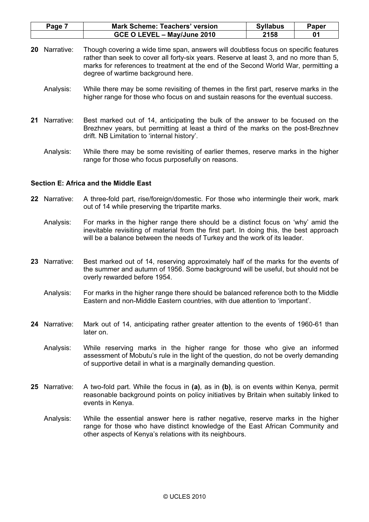| Page | <b>Mark Scheme: Teachers' version</b> | <b>Syllabus</b> | Paper |
|------|---------------------------------------|-----------------|-------|
|      | GCE O LEVEL - May/June 2010           | 2158            |       |

- 20 Narrative: Though covering a wide time span, answers will doubtless focus on specific features rather than seek to cover all forty-six years. Reserve at least 3, and no more than 5, marks for references to treatment at the end of the Second World War, permitting a degree of wartime background here.
	- Analysis: While there may be some revisiting of themes in the first part, reserve marks in the higher range for those who focus on and sustain reasons for the eventual success.
- 21 Narrative: Best marked out of 14, anticipating the bulk of the answer to be focused on the Brezhnev years, but permitting at least a third of the marks on the post-Brezhnev drift. NB Limitation to 'internal history'.
	- Analysis: While there may be some revisiting of earlier themes, reserve marks in the higher range for those who focus purposefully on reasons.

#### Section E: Africa and the Middle East

- 22 Narrative: A three-fold part, rise/foreign/domestic. For those who intermingle their work, mark out of 14 while preserving the tripartite marks.
	- Analysis: For marks in the higher range there should be a distinct focus on 'why' amid the inevitable revisiting of material from the first part. In doing this, the best approach will be a balance between the needs of Turkey and the work of its leader.
- 23 Narrative: Best marked out of 14, reserving approximately half of the marks for the events of the summer and autumn of 1956. Some background will be useful, but should not be overly rewarded before 1954.
	- Analysis: For marks in the higher range there should be balanced reference both to the Middle Eastern and non-Middle Eastern countries, with due attention to 'important'.
- 24 Narrative: Mark out of 14, anticipating rather greater attention to the events of 1960-61 than later on.
	- Analysis: While reserving marks in the higher range for those who give an informed assessment of Mobutu's rule in the light of the question, do not be overly demanding of supportive detail in what is a marginally demanding question.
- 25 Narrative: A two-fold part. While the focus in (a), as in (b), is on events within Kenya, permit reasonable background points on policy initiatives by Britain when suitably linked to events in Kenya.
	- Analysis: While the essential answer here is rather negative, reserve marks in the higher range for those who have distinct knowledge of the East African Community and other aspects of Kenya's relations with its neighbours.